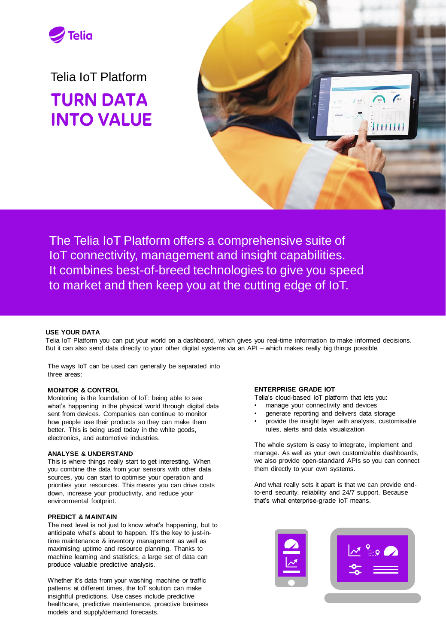

Telia IoT Platform TURN DATA INTO VALUE



The Telia IoT Platform offers a comprehensive suite of IoT connectivity, management and insight capabilities. It combines best-of-breed technologies to give you speed to market and then keep you at the cutting edge of IoT.

# **USE YOUR DATA**

Telia IoT Platform you can put your world on a dashboard, which gives you real-time information to make informed decisions. But it can also send data directly to your other digital systems via an API – which makes really big things possible.

The ways IoT can be used can generally be separated into three areas:

# **MONITOR & CONTROL**

Monitoring is the foundation of IoT: being able to see what's happening in the physical world through digital data sent from devices. Companies can continue to monitor how people use their products so they can make them better. This is being used today in the white goods, electronics, and automotive industries.

#### **ANALYSE & UNDERSTAND**

This is where things really start to get interesting. When you combine the data from your sensors with other data sources, you can start to optimise your operation and priorities your resources. This means you can drive costs down, increase your productivity, and reduce your environmental footprint.

# **PREDICT & MAINTAIN**

The next level is not just to know what's happening, but to anticipate what's about to happen. It's the key to just-intime maintenance & inventory management as well as maximising uptime and resource planning. Thanks to machine learning and statistics, a large set of data can produce valuable predictive analysis.

Whether it's data from your washing machine or traffic patterns at different times, the IoT solution can make insightful predictions. Use cases include predictive healthcare, predictive maintenance, proactive business models and supply/demand forecasts.

# **ENTERPRISE GRADE IOT**

Telia's cloud-based IoT platform that lets you:

- manage your connectivity and devices
- generate reporting and delivers data storage
- provide the insight layer with analysis, customisable rules, alerts and data visualization

The whole system is easy to integrate, implement and manage. As well as your own customizable dashboards, we also provide open-standard APIs so you can connect them directly to your own systems.

And what really sets it apart is that we can provide endto-end security, reliability and 24/7 support. Because that's what enterprise-grade IoT means.